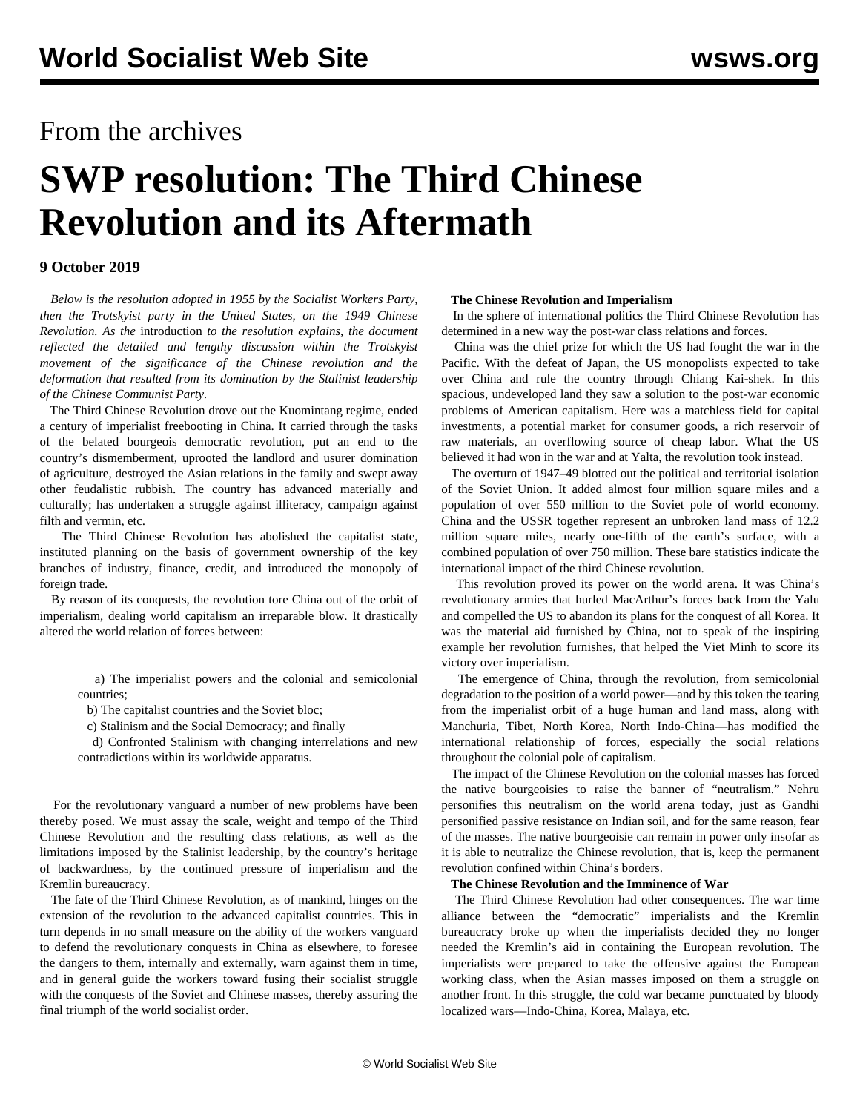## From the archives

# **SWP resolution: The Third Chinese Revolution and its Aftermath**

#### **9 October 2019**

 *Below is the resolution adopted in 1955 by the Socialist Workers Party, then the Trotskyist party in the United States, on the 1949 Chinese Revolution. As the* [introduction](/en/articles/2019/10/09/intr-o09.html) *to the resolution explains, the document reflected the detailed and lengthy discussion within the Trotskyist movement of the significance of the Chinese revolution and the deformation that resulted from its domination by the Stalinist leadership of the Chinese Communist Party.*

 The Third Chinese Revolution drove out the Kuomintang regime, ended a century of imperialist freebooting in China. It carried through the tasks of the belated bourgeois democratic revolution, put an end to the country's dismemberment, uprooted the landlord and usurer domination of agriculture, destroyed the Asian relations in the family and swept away other feudalistic rubbish. The country has advanced materially and culturally; has undertaken a struggle against illiteracy, campaign against filth and vermin, etc.

 The Third Chinese Revolution has abolished the capitalist state, instituted planning on the basis of government ownership of the key branches of industry, finance, credit, and introduced the monopoly of foreign trade.

 By reason of its conquests, the revolution tore China out of the orbit of imperialism, dealing world capitalism an irreparable blow. It drastically altered the world relation of forces between:

 a) The imperialist powers and the colonial and semicolonial countries;

b) The capitalist countries and the Soviet bloc;

c) Stalinism and the Social Democracy; and finally

 d) Confronted Stalinism with changing interrelations and new contradictions within its worldwide apparatus.

 For the revolutionary vanguard a number of new problems have been thereby posed. We must assay the scale, weight and tempo of the Third Chinese Revolution and the resulting class relations, as well as the limitations imposed by the Stalinist leadership, by the country's heritage of backwardness, by the continued pressure of imperialism and the Kremlin bureaucracy.

 The fate of the Third Chinese Revolution, as of mankind, hinges on the extension of the revolution to the advanced capitalist countries. This in turn depends in no small measure on the ability of the workers vanguard to defend the revolutionary conquests in China as elsewhere, to foresee the dangers to them, internally and externally, warn against them in time, and in general guide the workers toward fusing their socialist struggle with the conquests of the Soviet and Chinese masses, thereby assuring the final triumph of the world socialist order.

#### **The Chinese Revolution and Imperialism**

 In the sphere of international politics the Third Chinese Revolution has determined in a new way the post-war class relations and forces.

 China was the chief prize for which the US had fought the war in the Pacific. With the defeat of Japan, the US monopolists expected to take over China and rule the country through Chiang Kai-shek. In this spacious, undeveloped land they saw a solution to the post-war economic problems of American capitalism. Here was a matchless field for capital investments, a potential market for consumer goods, a rich reservoir of raw materials, an overflowing source of cheap labor. What the US believed it had won in the war and at Yalta, the revolution took instead.

 The overturn of 1947–49 blotted out the political and territorial isolation of the Soviet Union. It added almost four million square miles and a population of over 550 million to the Soviet pole of world economy. China and the USSR together represent an unbroken land mass of 12.2 million square miles, nearly one-fifth of the earth's surface, with a combined population of over 750 million. These bare statistics indicate the international impact of the third Chinese revolution.

 This revolution proved its power on the world arena. It was China's revolutionary armies that hurled MacArthur's forces back from the Yalu and compelled the US to abandon its plans for the conquest of all Korea. It was the material aid furnished by China, not to speak of the inspiring example her revolution furnishes, that helped the Viet Minh to score its victory over imperialism.

 The emergence of China, through the revolution, from semicolonial degradation to the position of a world power—and by this token the tearing from the imperialist orbit of a huge human and land mass, along with Manchuria, Tibet, North Korea, North Indo-China—has modified the international relationship of forces, especially the social relations throughout the colonial pole of capitalism.

 The impact of the Chinese Revolution on the colonial masses has forced the native bourgeoisies to raise the banner of "neutralism." Nehru personifies this neutralism on the world arena today, just as Gandhi personified passive resistance on Indian soil, and for the same reason, fear of the masses. The native bourgeoisie can remain in power only insofar as it is able to neutralize the Chinese revolution, that is, keep the permanent revolution confined within China's borders.

#### **The Chinese Revolution and the Imminence of War**

 The Third Chinese Revolution had other consequences. The war time alliance between the "democratic" imperialists and the Kremlin bureaucracy broke up when the imperialists decided they no longer needed the Kremlin's aid in containing the European revolution. The imperialists were prepared to take the offensive against the European working class, when the Asian masses imposed on them a struggle on another front. In this struggle, the cold war became punctuated by bloody localized wars—Indo-China, Korea, Malaya, etc.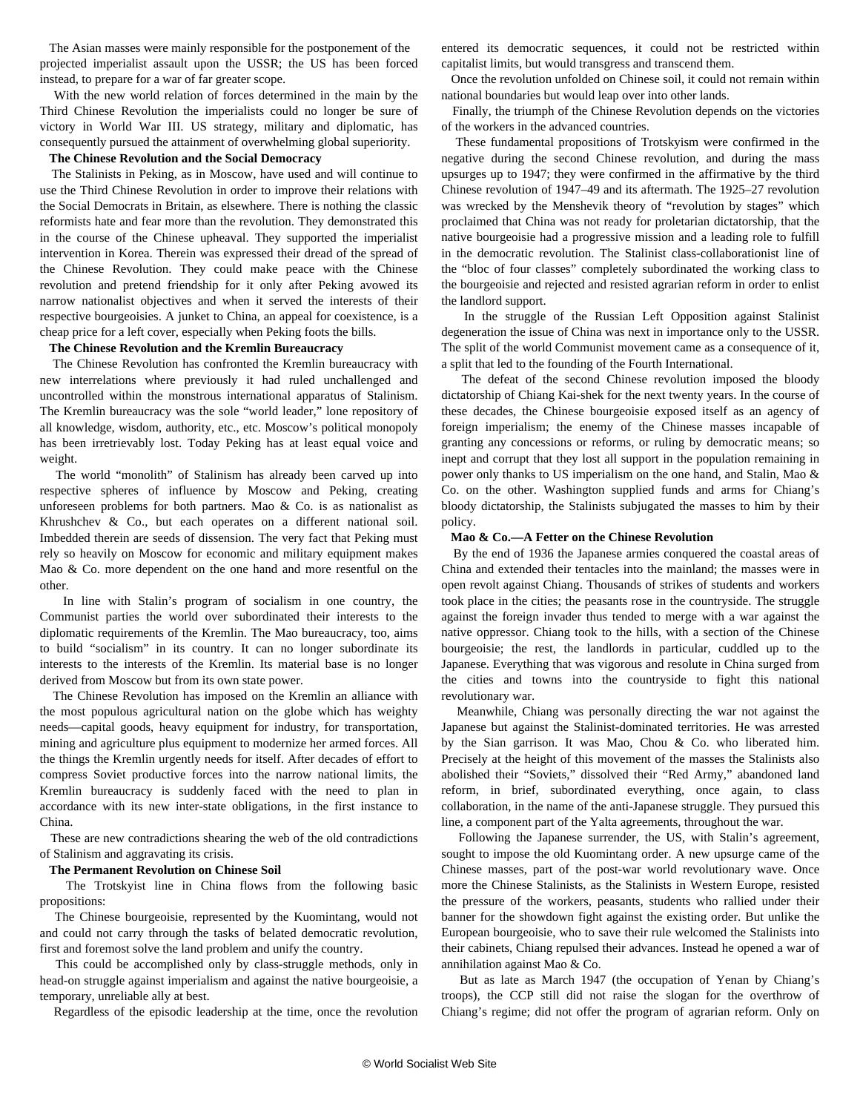The Asian masses were mainly responsible for the postponement of the projected imperialist assault upon the USSR; the US has been forced instead, to prepare for a war of far greater scope.

 With the new world relation of forces determined in the main by the Third Chinese Revolution the imperialists could no longer be sure of victory in World War III. US strategy, military and diplomatic, has consequently pursued the attainment of overwhelming global superiority.

#### **The Chinese Revolution and the Social Democracy**

 The Stalinists in Peking, as in Moscow, have used and will continue to use the Third Chinese Revolution in order to improve their relations with the Social Democrats in Britain, as elsewhere. There is nothing the classic reformists hate and fear more than the revolution. They demonstrated this in the course of the Chinese upheaval. They supported the imperialist intervention in Korea. Therein was expressed their dread of the spread of the Chinese Revolution. They could make peace with the Chinese revolution and pretend friendship for it only after Peking avowed its narrow nationalist objectives and when it served the interests of their respective bourgeoisies. A junket to China, an appeal for coexistence, is a cheap price for a left cover, especially when Peking foots the bills.

#### **The Chinese Revolution and the Kremlin Bureaucracy**

 The Chinese Revolution has confronted the Kremlin bureaucracy with new interrelations where previously it had ruled unchallenged and uncontrolled within the monstrous international apparatus of Stalinism. The Kremlin bureaucracy was the sole "world leader," lone repository of all knowledge, wisdom, authority, etc., etc. Moscow's political monopoly has been irretrievably lost. Today Peking has at least equal voice and weight.

 The world "monolith" of Stalinism has already been carved up into respective spheres of influence by Moscow and Peking, creating unforeseen problems for both partners. Mao & Co. is as nationalist as Khrushchev & Co., but each operates on a different national soil. Imbedded therein are seeds of dissension. The very fact that Peking must rely so heavily on Moscow for economic and military equipment makes Mao & Co. more dependent on the one hand and more resentful on the other.

 In line with Stalin's program of socialism in one country, the Communist parties the world over subordinated their interests to the diplomatic requirements of the Kremlin. The Mao bureaucracy, too, aims to build "socialism" in its country. It can no longer subordinate its interests to the interests of the Kremlin. Its material base is no longer derived from Moscow but from its own state power.

 The Chinese Revolution has imposed on the Kremlin an alliance with the most populous agricultural nation on the globe which has weighty needs—capital goods, heavy equipment for industry, for transportation, mining and agriculture plus equipment to modernize her armed forces. All the things the Kremlin urgently needs for itself. After decades of effort to compress Soviet productive forces into the narrow national limits, the Kremlin bureaucracy is suddenly faced with the need to plan in accordance with its new inter-state obligations, in the first instance to China.

 These are new contradictions shearing the web of the old contradictions of Stalinism and aggravating its crisis.

#### **The Permanent Revolution on Chinese Soil**

 The Trotskyist line in China flows from the following basic propositions:

 The Chinese bourgeoisie, represented by the Kuomintang, would not and could not carry through the tasks of belated democratic revolution, first and foremost solve the land problem and unify the country.

 This could be accomplished only by class-struggle methods, only in head-on struggle against imperialism and against the native bourgeoisie, a temporary, unreliable ally at best.

Regardless of the episodic leadership at the time, once the revolution

entered its democratic sequences, it could not be restricted within capitalist limits, but would transgress and transcend them.

 Once the revolution unfolded on Chinese soil, it could not remain within national boundaries but would leap over into other lands.

 Finally, the triumph of the Chinese Revolution depends on the victories of the workers in the advanced countries.

 These fundamental propositions of Trotskyism were confirmed in the negative during the second Chinese revolution, and during the mass upsurges up to 1947; they were confirmed in the affirmative by the third Chinese revolution of 1947–49 and its aftermath. The 1925–27 revolution was wrecked by the Menshevik theory of "revolution by stages" which proclaimed that China was not ready for proletarian dictatorship, that the native bourgeoisie had a progressive mission and a leading role to fulfill in the democratic revolution. The Stalinist class-collaborationist line of the "bloc of four classes" completely subordinated the working class to the bourgeoisie and rejected and resisted agrarian reform in order to enlist the landlord support.

 In the struggle of the Russian Left Opposition against Stalinist degeneration the issue of China was next in importance only to the USSR. The split of the world Communist movement came as a consequence of it, a split that led to the founding of the Fourth International.

 The defeat of the second Chinese revolution imposed the bloody dictatorship of Chiang Kai-shek for the next twenty years. In the course of these decades, the Chinese bourgeoisie exposed itself as an agency of foreign imperialism; the enemy of the Chinese masses incapable of granting any concessions or reforms, or ruling by democratic means; so inept and corrupt that they lost all support in the population remaining in power only thanks to US imperialism on the one hand, and Stalin, Mao & Co. on the other. Washington supplied funds and arms for Chiang's bloody dictatorship, the Stalinists subjugated the masses to him by their policy.

#### **Mao & Co.—A Fetter on the Chinese Revolution**

 By the end of 1936 the Japanese armies conquered the coastal areas of China and extended their tentacles into the mainland; the masses were in open revolt against Chiang. Thousands of strikes of students and workers took place in the cities; the peasants rose in the countryside. The struggle against the foreign invader thus tended to merge with a war against the native oppressor. Chiang took to the hills, with a section of the Chinese bourgeoisie; the rest, the landlords in particular, cuddled up to the Japanese. Everything that was vigorous and resolute in China surged from the cities and towns into the countryside to fight this national revolutionary war.

 Meanwhile, Chiang was personally directing the war not against the Japanese but against the Stalinist-dominated territories. He was arrested by the Sian garrison. It was Mao, Chou & Co. who liberated him. Precisely at the height of this movement of the masses the Stalinists also abolished their "Soviets," dissolved their "Red Army," abandoned land reform, in brief, subordinated everything, once again, to class collaboration, in the name of the anti-Japanese struggle. They pursued this line, a component part of the Yalta agreements, throughout the war.

 Following the Japanese surrender, the US, with Stalin's agreement, sought to impose the old Kuomintang order. A new upsurge came of the Chinese masses, part of the post-war world revolutionary wave. Once more the Chinese Stalinists, as the Stalinists in Western Europe, resisted the pressure of the workers, peasants, students who rallied under their banner for the showdown fight against the existing order. But unlike the European bourgeoisie, who to save their rule welcomed the Stalinists into their cabinets, Chiang repulsed their advances. Instead he opened a war of annihilation against Mao & Co.

 But as late as March 1947 (the occupation of Yenan by Chiang's troops), the CCP still did not raise the slogan for the overthrow of Chiang's regime; did not offer the program of agrarian reform. Only on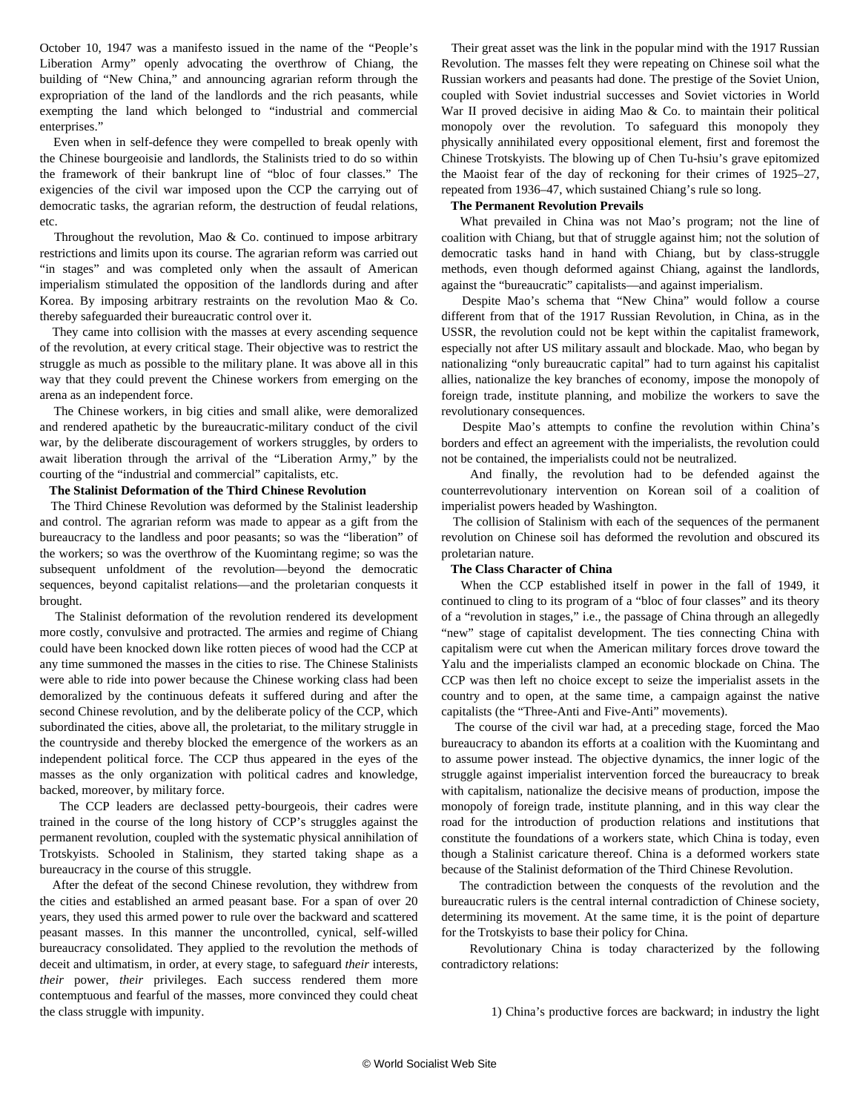October 10, 1947 was a manifesto issued in the name of the "People's Liberation Army" openly advocating the overthrow of Chiang, the building of "New China," and announcing agrarian reform through the expropriation of the land of the landlords and the rich peasants, while exempting the land which belonged to "industrial and commercial enterprises."

 Even when in self-defence they were compelled to break openly with the Chinese bourgeoisie and landlords, the Stalinists tried to do so within the framework of their bankrupt line of "bloc of four classes." The exigencies of the civil war imposed upon the CCP the carrying out of democratic tasks, the agrarian reform, the destruction of feudal relations, etc.

Throughout the revolution, Mao  $\&$  Co. continued to impose arbitrary restrictions and limits upon its course. The agrarian reform was carried out "in stages" and was completed only when the assault of American imperialism stimulated the opposition of the landlords during and after Korea. By imposing arbitrary restraints on the revolution Mao & Co. thereby safeguarded their bureaucratic control over it.

 They came into collision with the masses at every ascending sequence of the revolution, at every critical stage. Their objective was to restrict the struggle as much as possible to the military plane. It was above all in this way that they could prevent the Chinese workers from emerging on the arena as an independent force.

 The Chinese workers, in big cities and small alike, were demoralized and rendered apathetic by the bureaucratic-military conduct of the civil war, by the deliberate discouragement of workers struggles, by orders to await liberation through the arrival of the "Liberation Army," by the courting of the "industrial and commercial" capitalists, etc.

#### **The Stalinist Deformation of the Third Chinese Revolution**

 The Third Chinese Revolution was deformed by the Stalinist leadership and control. The agrarian reform was made to appear as a gift from the bureaucracy to the landless and poor peasants; so was the "liberation" of the workers; so was the overthrow of the Kuomintang regime; so was the subsequent unfoldment of the revolution—beyond the democratic sequences, beyond capitalist relations—and the proletarian conquests it brought.

 The Stalinist deformation of the revolution rendered its development more costly, convulsive and protracted. The armies and regime of Chiang could have been knocked down like rotten pieces of wood had the CCP at any time summoned the masses in the cities to rise. The Chinese Stalinists were able to ride into power because the Chinese working class had been demoralized by the continuous defeats it suffered during and after the second Chinese revolution, and by the deliberate policy of the CCP, which subordinated the cities, above all, the proletariat, to the military struggle in the countryside and thereby blocked the emergence of the workers as an independent political force. The CCP thus appeared in the eyes of the masses as the only organization with political cadres and knowledge, backed, moreover, by military force.

 The CCP leaders are declassed petty-bourgeois, their cadres were trained in the course of the long history of CCP's struggles against the permanent revolution, coupled with the systematic physical annihilation of Trotskyists. Schooled in Stalinism, they started taking shape as a bureaucracy in the course of this struggle.

 After the defeat of the second Chinese revolution, they withdrew from the cities and established an armed peasant base. For a span of over 20 years, they used this armed power to rule over the backward and scattered peasant masses. In this manner the uncontrolled, cynical, self-willed bureaucracy consolidated. They applied to the revolution the methods of deceit and ultimatism, in order, at every stage, to safeguard *their* interests, *their* power, *their* privileges. Each success rendered them more contemptuous and fearful of the masses, more convinced they could cheat the class struggle with impunity.

 Their great asset was the link in the popular mind with the 1917 Russian Revolution. The masses felt they were repeating on Chinese soil what the Russian workers and peasants had done. The prestige of the Soviet Union, coupled with Soviet industrial successes and Soviet victories in World War II proved decisive in aiding Mao & Co. to maintain their political monopoly over the revolution. To safeguard this monopoly they physically annihilated every oppositional element, first and foremost the Chinese Trotskyists. The blowing up of Chen Tu-hsiu's grave epitomized the Maoist fear of the day of reckoning for their crimes of 1925–27, repeated from 1936–47, which sustained Chiang's rule so long.

#### **The Permanent Revolution Prevails**

 What prevailed in China was not Mao's program; not the line of coalition with Chiang, but that of struggle against him; not the solution of democratic tasks hand in hand with Chiang, but by class-struggle methods, even though deformed against Chiang, against the landlords, against the "bureaucratic" capitalists—and against imperialism.

 Despite Mao's schema that "New China" would follow a course different from that of the 1917 Russian Revolution, in China, as in the USSR, the revolution could not be kept within the capitalist framework, especially not after US military assault and blockade. Mao, who began by nationalizing "only bureaucratic capital" had to turn against his capitalist allies, nationalize the key branches of economy, impose the monopoly of foreign trade, institute planning, and mobilize the workers to save the revolutionary consequences.

 Despite Mao's attempts to confine the revolution within China's borders and effect an agreement with the imperialists, the revolution could not be contained, the imperialists could not be neutralized.

 And finally, the revolution had to be defended against the counterrevolutionary intervention on Korean soil of a coalition of imperialist powers headed by Washington.

 The collision of Stalinism with each of the sequences of the permanent revolution on Chinese soil has deformed the revolution and obscured its proletarian nature.

#### **The Class Character of China**

 When the CCP established itself in power in the fall of 1949, it continued to cling to its program of a "bloc of four classes" and its theory of a "revolution in stages," i.e., the passage of China through an allegedly "new" stage of capitalist development. The ties connecting China with capitalism were cut when the American military forces drove toward the Yalu and the imperialists clamped an economic blockade on China. The CCP was then left no choice except to seize the imperialist assets in the country and to open, at the same time, a campaign against the native capitalists (the "Three-Anti and Five-Anti" movements).

 The course of the civil war had, at a preceding stage, forced the Mao bureaucracy to abandon its efforts at a coalition with the Kuomintang and to assume power instead. The objective dynamics, the inner logic of the struggle against imperialist intervention forced the bureaucracy to break with capitalism, nationalize the decisive means of production, impose the monopoly of foreign trade, institute planning, and in this way clear the road for the introduction of production relations and institutions that constitute the foundations of a workers state, which China is today, even though a Stalinist caricature thereof. China is a deformed workers state because of the Stalinist deformation of the Third Chinese Revolution.

 The contradiction between the conquests of the revolution and the bureaucratic rulers is the central internal contradiction of Chinese society, determining its movement. At the same time, it is the point of departure for the Trotskyists to base their policy for China.

 Revolutionary China is today characterized by the following contradictory relations:

1) China's productive forces are backward; in industry the light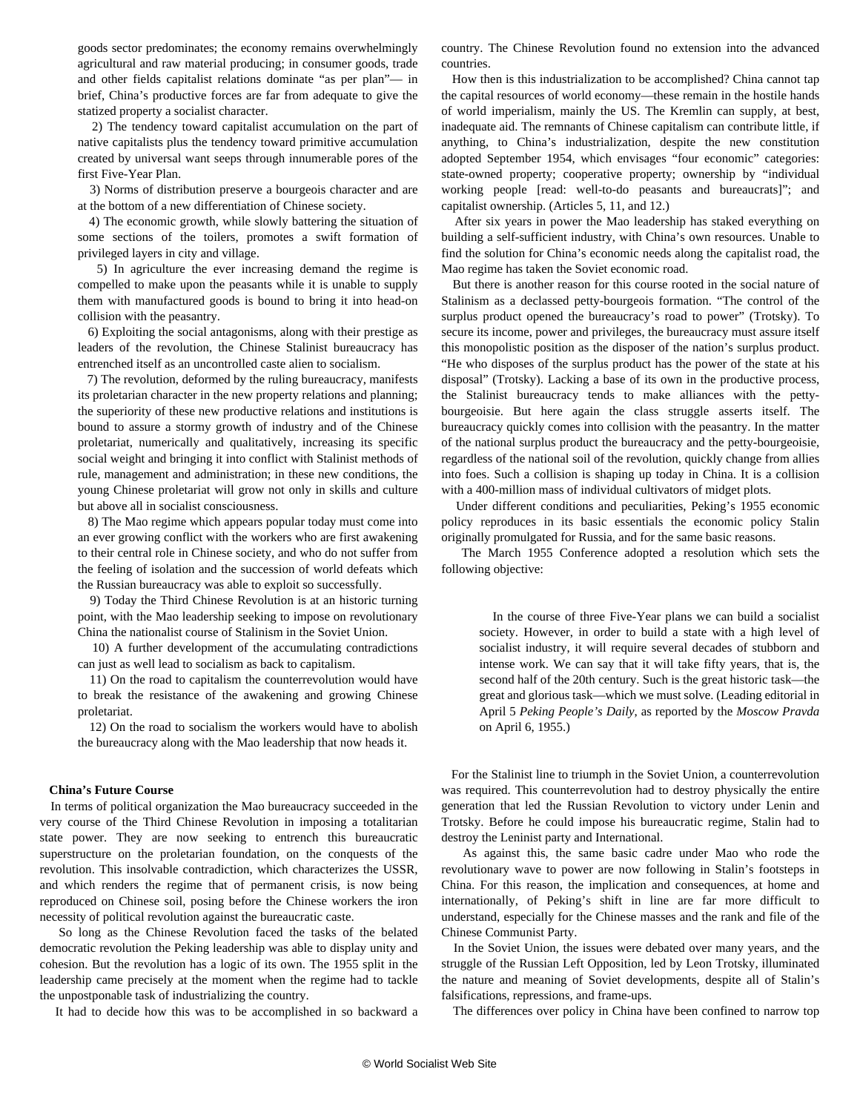goods sector predominates; the economy remains overwhelmingly agricultural and raw material producing; in consumer goods, trade and other fields capitalist relations dominate "as per plan"— in brief, China's productive forces are far from adequate to give the statized property a socialist character.

 2) The tendency toward capitalist accumulation on the part of native capitalists plus the tendency toward primitive accumulation created by universal want seeps through innumerable pores of the first Five-Year Plan.

 3) Norms of distribution preserve a bourgeois character and are at the bottom of a new differentiation of Chinese society.

 4) The economic growth, while slowly battering the situation of some sections of the toilers, promotes a swift formation of privileged layers in city and village.

 5) In agriculture the ever increasing demand the regime is compelled to make upon the peasants while it is unable to supply them with manufactured goods is bound to bring it into head-on collision with the peasantry.

 6) Exploiting the social antagonisms, along with their prestige as leaders of the revolution, the Chinese Stalinist bureaucracy has entrenched itself as an uncontrolled caste alien to socialism.

 7) The revolution, deformed by the ruling bureaucracy, manifests its proletarian character in the new property relations and planning; the superiority of these new productive relations and institutions is bound to assure a stormy growth of industry and of the Chinese proletariat, numerically and qualitatively, increasing its specific social weight and bringing it into conflict with Stalinist methods of rule, management and administration; in these new conditions, the young Chinese proletariat will grow not only in skills and culture but above all in socialist consciousness.

 8) The Mao regime which appears popular today must come into an ever growing conflict with the workers who are first awakening to their central role in Chinese society, and who do not suffer from the feeling of isolation and the succession of world defeats which the Russian bureaucracy was able to exploit so successfully.

 9) Today the Third Chinese Revolution is at an historic turning point, with the Mao leadership seeking to impose on revolutionary China the nationalist course of Stalinism in the Soviet Union.

 10) A further development of the accumulating contradictions can just as well lead to socialism as back to capitalism.

 11) On the road to capitalism the counterrevolution would have to break the resistance of the awakening and growing Chinese proletariat.

 12) On the road to socialism the workers would have to abolish the bureaucracy along with the Mao leadership that now heads it.

#### **China's Future Course**

 In terms of political organization the Mao bureaucracy succeeded in the very course of the Third Chinese Revolution in imposing a totalitarian state power. They are now seeking to entrench this bureaucratic superstructure on the proletarian foundation, on the conquests of the revolution. This insolvable contradiction, which characterizes the USSR, and which renders the regime that of permanent crisis, is now being reproduced on Chinese soil, posing before the Chinese workers the iron necessity of political revolution against the bureaucratic caste.

 So long as the Chinese Revolution faced the tasks of the belated democratic revolution the Peking leadership was able to display unity and cohesion. But the revolution has a logic of its own. The 1955 split in the leadership came precisely at the moment when the regime had to tackle the unpostponable task of industrializing the country.

It had to decide how this was to be accomplished in so backward a

country. The Chinese Revolution found no extension into the advanced countries.

 How then is this industrialization to be accomplished? China cannot tap the capital resources of world economy—these remain in the hostile hands of world imperialism, mainly the US. The Kremlin can supply, at best, inadequate aid. The remnants of Chinese capitalism can contribute little, if anything, to China's industrialization, despite the new constitution adopted September 1954, which envisages "four economic" categories: state-owned property; cooperative property; ownership by "individual working people [read: well-to-do peasants and bureaucrats]"; and capitalist ownership. (Articles 5, 11, and 12.)

 After six years in power the Mao leadership has staked everything on building a self-sufficient industry, with China's own resources. Unable to find the solution for China's economic needs along the capitalist road, the Mao regime has taken the Soviet economic road.

 But there is another reason for this course rooted in the social nature of Stalinism as a declassed petty-bourgeois formation. "The control of the surplus product opened the bureaucracy's road to power" (Trotsky). To secure its income, power and privileges, the bureaucracy must assure itself this monopolistic position as the disposer of the nation's surplus product. "He who disposes of the surplus product has the power of the state at his disposal" (Trotsky). Lacking a base of its own in the productive process, the Stalinist bureaucracy tends to make alliances with the pettybourgeoisie. But here again the class struggle asserts itself. The bureaucracy quickly comes into collision with the peasantry. In the matter of the national surplus product the bureaucracy and the petty-bourgeoisie, regardless of the national soil of the revolution, quickly change from allies into foes. Such a collision is shaping up today in China. It is a collision with a 400-million mass of individual cultivators of midget plots.

 Under different conditions and peculiarities, Peking's 1955 economic policy reproduces in its basic essentials the economic policy Stalin originally promulgated for Russia, and for the same basic reasons.

 The March 1955 Conference adopted a resolution which sets the following objective:

 In the course of three Five-Year plans we can build a socialist society. However, in order to build a state with a high level of socialist industry, it will require several decades of stubborn and intense work. We can say that it will take fifty years, that is, the second half of the 20th century. Such is the great historic task—the great and glorious task—which we must solve. (Leading editorial in April 5 *Peking People's Daily*, as reported by the *Moscow Pravda* on April 6, 1955.)

 For the Stalinist line to triumph in the Soviet Union, a counterrevolution was required. This counterrevolution had to destroy physically the entire generation that led the Russian Revolution to victory under Lenin and Trotsky. Before he could impose his bureaucratic regime, Stalin had to destroy the Leninist party and International.

 As against this, the same basic cadre under Mao who rode the revolutionary wave to power are now following in Stalin's footsteps in China. For this reason, the implication and consequences, at home and internationally, of Peking's shift in line are far more difficult to understand, especially for the Chinese masses and the rank and file of the Chinese Communist Party.

 In the Soviet Union, the issues were debated over many years, and the struggle of the Russian Left Opposition, led by Leon Trotsky, illuminated the nature and meaning of Soviet developments, despite all of Stalin's falsifications, repressions, and frame-ups.

The differences over policy in China have been confined to narrow top